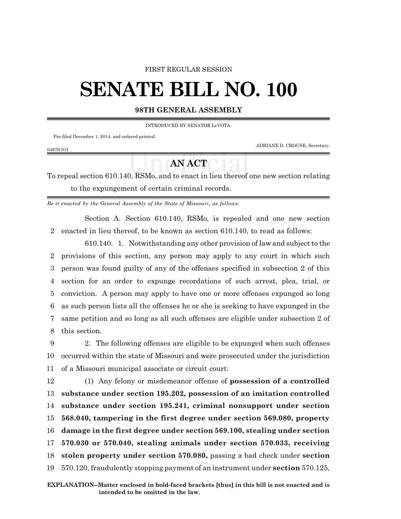#### FIRST REGULAR SESSION

# **SENATE BILL NO. 100**

#### **98TH GENERAL ASSEMBLY**

INTRODUCED BY SENATOR LeVOTA.

Pre-filed December 1, 2014, and ordered printed.

ADRIANE D. CROUSE, Secretary.

### 0467S.01I

## **AN ACT**

To repeal section 610.140, RSMo, and to enact in lieu thereof one new section relating to the expungement of certain criminal records.

*Be it enacted by the General Assembly of the State of Missouri, as follows:*

Section A. Section 610.140, RSMo, is repealed and one new section 2 enacted in lieu thereof, to be known as section 610.140, to read as follows:

610.140. 1. Notwithstanding any other provision of law and subject to the provisions of this section, any person may apply to any court in which such person was found guilty of any of the offenses specified in subsection 2 of this section for an order to expunge recordations of such arrest, plea, trial, or conviction. A person may apply to have one or more offenses expunged so long as such person lists all the offenses he or she is seeking to have expunged in the same petition and so long as all such offenses are eligible under subsection 2 of this section.

9 2. The following offenses are eligible to be expunged when such offenses 10 occurred within the state of Missouri and were prosecuted under the jurisdiction 11 of a Missouri municipal associate or circuit court:

 (1) Any felony or misdemeanor offense of **possession of a controlled substance under section 195.202, possession of an imitation controlled substance under section 195.241, criminal nonsupport under section 568.040, tampering in the first degree under section 569.080, property damage in the first degree under section 569.100, stealing under section 570.030 or 570.040, stealing animals under section 570.033, receiving stolen property under section 570.080,** passing a bad check under **section** 570.120, fraudulently stopping payment of an instrument under **section** 570.125,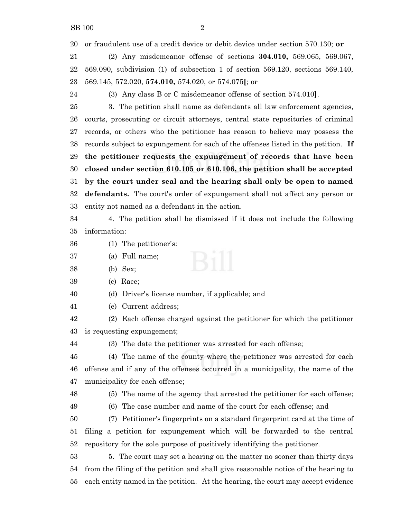or fraudulent use of a credit device or debit device under section 570.130; **or**

 (2) Any misdemeanor offense of sections **304.010,** 569.065, 569.067, 569.090, subdivision (1) of subsection 1 of section 569.120, sections 569.140, 569.145, 572.020, **574.010,** 574.020, or 574.075**[**; or

(3) Any class B or C misdemeanor offense of section 574.010**]**.

 3. The petition shall name as defendants all law enforcement agencies, courts, prosecuting or circuit attorneys, central state repositories of criminal records, or others who the petitioner has reason to believe may possess the records subject to expungement for each of the offenses listed in the petition. **If the petitioner requests the expungement of records that have been closed under section 610.105 or 610.106, the petition shall be accepted by the court under seal and the hearing shall only be open to named defendants.** The court's order of expungement shall not affect any person or entity not named as a defendant in the action.

 4. The petition shall be dismissed if it does not include the following information:

- (1) The petitioner's:
- (a) Full name;
- (b) Sex;
- (c) Race;

(d) Driver's license number, if applicable; and

(e) Current address;

 (2) Each offense charged against the petitioner for which the petitioner is requesting expungement;

(3) The date the petitioner was arrested for each offense;

 (4) The name of the county where the petitioner was arrested for each offense and if any of the offenses occurred in a municipality, the name of the municipality for each offense;

(5) The name of the agency that arrested the petitioner for each offense;

(6) The case number and name of the court for each offense; and

 (7) Petitioner's fingerprints on a standard fingerprint card at the time of filing a petition for expungement which will be forwarded to the central repository for the sole purpose of positively identifying the petitioner.

 5. The court may set a hearing on the matter no sooner than thirty days from the filing of the petition and shall give reasonable notice of the hearing to each entity named in the petition. At the hearing, the court may accept evidence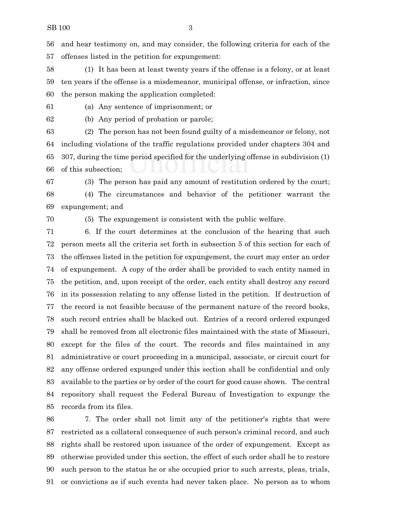and hear testimony on, and may consider, the following criteria for each of the offenses listed in the petition for expungement:

 (1) It has been at least twenty years if the offense is a felony, or at least ten years if the offense is a misdemeanor, municipal offense, or infraction, since the person making the application completed:

(a) Any sentence of imprisonment; or

(b) Any period of probation or parole;

 (2) The person has not been found guilty of a misdemeanor or felony, not including violations of the traffic regulations provided under chapters 304 and 307, during the time period specified for the underlying offense in subdivision (1) of this subsection;

 (3) The person has paid any amount of restitution ordered by the court; (4) The circumstances and behavior of the petitioner warrant the expungement; and

(5) The expungement is consistent with the public welfare.

 6. If the court determines at the conclusion of the hearing that such person meets all the criteria set forth in subsection 5 of this section for each of the offenses listed in the petition for expungement, the court may enter an order of expungement. A copy of the order shall be provided to each entity named in the petition, and, upon receipt of the order, each entity shall destroy any record in its possession relating to any offense listed in the petition. If destruction of the record is not feasible because of the permanent nature of the record books, such record entries shall be blacked out. Entries of a record ordered expunged shall be removed from all electronic files maintained with the state of Missouri, except for the files of the court. The records and files maintained in any administrative or court proceeding in a municipal, associate, or circuit court for any offense ordered expunged under this section shall be confidential and only available to the parties or by order of the court for good cause shown. The central repository shall request the Federal Bureau of Investigation to expunge the records from its files.

 7. The order shall not limit any of the petitioner's rights that were restricted as a collateral consequence of such person's criminal record, and such rights shall be restored upon issuance of the order of expungement. Except as otherwise provided under this section, the effect of such order shall be to restore such person to the status he or she occupied prior to such arrests, pleas, trials, or convictions as if such events had never taken place. No person as to whom